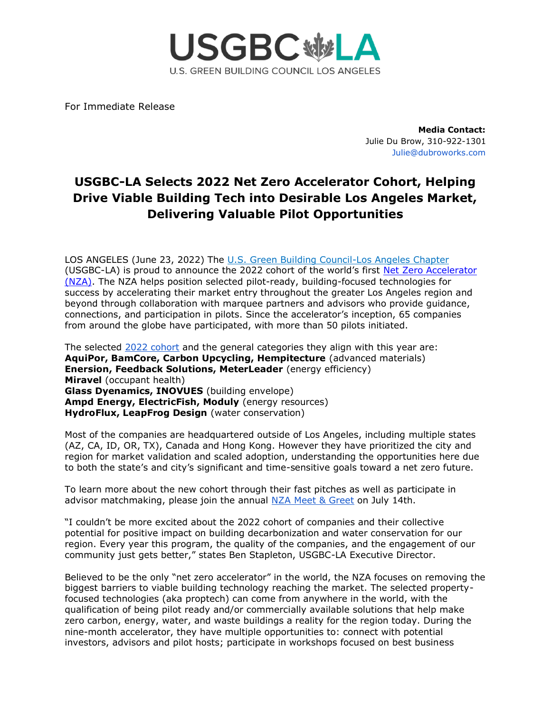

For Immediate Release

**Media Contact:** Julie Du Brow, 310-922-1301 Julie@dubroworks.com

## **USGBC-LA Selects 2022 Net Zero Accelerator Cohort, Helping Drive Viable Building Tech into Desirable Los Angeles Market, Delivering Valuable Pilot Opportunities**

LOS ANGELES (June 23, 2022) Th[e](https://usgbc-la.org/) [U.S. Green Building Council-Los Angeles Chapter](https://usgbc-la.org/) (USGBC-LA) is proud to announce the 2022 cohort of the world's firs[t](https://www.netzeroaccelerator.org/) [Net Zero Accelerator](https://www.netzeroaccelerator.org/)  [\(NZA\).](https://www.netzeroaccelerator.org/) The NZA helps position selected pilot-ready, building-focused technologies for success by accelerating their market entry throughout the greater Los Angeles region and beyond through collaboration with marquee partners and advisors who provide guidance, connections, and participation in pilots. Since the accelerator's inception, 65 companies from around the globe have participated, with more than 50 pilots initiated.

The selected [2022 cohort](https://www.netzeroaccelerator.org/nza-22) and the general categories they align with this year are: **AquiPor, BamCore, Carbon Upcycling, Hempitecture** (advanced materials) **Enersion, Feedback Solutions, MeterLeader** (energy efficiency) **Miravel** (occupant health) **Glass Dyenamics, INOVUES** (building envelope) **Ampd Energy, ElectricFish, Moduly** (energy resources) **HydroFlux, LeapFrog Design** (water conservation)

Most of the companies are headquartered outside of Los Angeles, including multiple states (AZ, CA, ID, OR, TX), Canada and Hong Kong. However they have prioritized the city and region for market validation and scaled adoption, understanding the opportunities here due to both the state's and city's significant and time-sensitive goals toward a net zero future.

To learn more about the new cohort through their fast pitches as well as participate in advisor matchmaking, please join the annual [NZA Meet & Greet](https://www.eventbrite.com/e/net-zero-accelerator-2022-meet-greet-tickets-358937661207?aff=odeimcmailchimp&mc_cid=752f17be01&mc_eid=b1fa34186a) on July 14th.

"I couldn't be more excited about the 2022 cohort of companies and their collective potential for positive impact on building decarbonization and water conservation for our region. Every year this program, the quality of the companies, and the engagement of our community just gets better," states Ben Stapleton, USGBC-LA Executive Director.

Believed to be the only "net zero accelerator" in the world, the NZA focuses on removing the biggest barriers to viable building technology reaching the market. The selected propertyfocused technologies (aka proptech) can come from anywhere in the world, with the qualification of being pilot ready and/or commercially available solutions that help make zero carbon, energy, water, and waste buildings a reality for the region today. During the nine-month accelerator, they have multiple opportunities to: connect with potential investors, advisors and pilot hosts; participate in workshops focused on best business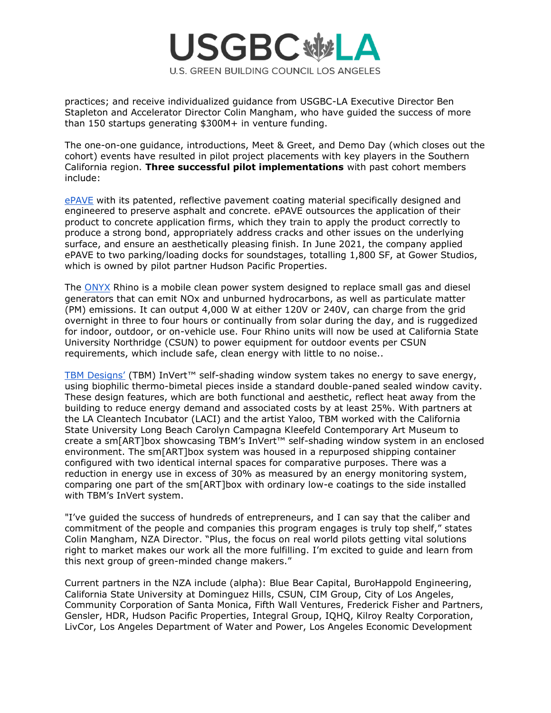

practices; and receive individualized guidance from USGBC-LA Executive Director Ben Stapleton and Accelerator Director Colin Mangham, who have guided the success of more than 150 startups generating \$300M+ in venture funding.

The one-on-one guidance, introductions, Meet & Greet, and Demo Day (which closes out the cohort) events have resulted in pilot project placements with key players in the Southern California region. **Three successful pilot implementations** with past cohort members include:

[ePAVE](https://www.epavellc.com/) with its patented, reflective pavement coating material specifically designed and engineered to preserve asphalt and concrete. ePAVE outsources the application of their product to concrete application firms, which they train to apply the product correctly to produce a strong bond, appropriately address cracks and other issues on the underlying surface, and ensure an aesthetically pleasing finish. In June 2021, the company applied ePAVE to two parking/loading docks for soundstages, totalling 1,800 SF, at Gower Studios, which is owned by pilot partner Hudson Pacific Properties.

The [ONYX](https://www.onyxpower.io/products) Rhino is a mobile clean power system designed to replace small gas and diesel generators that can emit NOx and unburned hydrocarbons, as well as particulate matter (PM) emissions. It can output 4,000 W at either 120V or 240V, can charge from the grid overnight in three to four hours or continually from solar during the day, and is ruggedized for indoor, outdoor, or on-vehicle use. Four Rhino units will now be used at California State University Northridge (CSUN) to power equipment for outdoor events per CSUN requirements, which include safe, clean energy with little to no noise..

[TBM Designs'](https://www.tbm-designs.com/) (TBM) InVert™ self-shading window system takes no energy to save energy, using biophilic thermo-bimetal pieces inside a standard double-paned sealed window cavity. These design features, which are both functional and aesthetic, reflect heat away from the building to reduce energy demand and associated costs by at least 25%. With partners at the LA Cleantech Incubator (LACI) and the artist Yaloo, TBM worked with the California State University Long Beach Carolyn Campagna Kleefeld Contemporary Art Museum to create a sm[ART]box showcasing TBM's InVert™ self-shading window system in an enclosed environment. The sm[ART]box system was housed in a repurposed shipping container configured with two identical internal spaces for comparative purposes. There was a reduction in energy use in excess of 30% as measured by an energy monitoring system, comparing one part of the sm[ART]box with ordinary low-e coatings to the side installed with TBM's InVert system.

"I've guided the success of hundreds of entrepreneurs, and I can say that the caliber and commitment of the people and companies this program engages is truly top shelf," states Colin Mangham, NZA Director. "Plus, the focus on real world pilots getting vital solutions right to market makes our work all the more fulfilling. I'm excited to guide and learn from this next group of green-minded change makers."

Current partners in the NZA include (alpha): Blue Bear Capital, BuroHappold Engineering, California State University at Dominguez Hills, CSUN, CIM Group, City of Los Angeles, Community Corporation of Santa Monica, Fifth Wall Ventures, Frederick Fisher and Partners, Gensler, HDR, Hudson Pacific Properties, Integral Group, IQHQ, Kilroy Realty Corporation, LivCor, Los Angeles Department of Water and Power, Los Angeles Economic Development